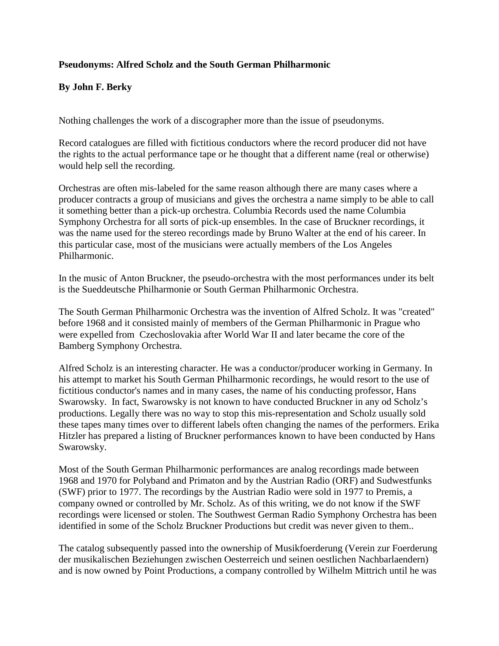## **Pseudonyms: Alfred Scholz and the South German Philharmonic**

## **By John F. Berky**

Nothing challenges the work of a discographer more than the issue of pseudonyms.

Record catalogues are filled with fictitious conductors where the record producer did not have the rights to the actual performance tape or he thought that a different name (real or otherwise) would help sell the recording.

Orchestras are often mis-labeled for the same reason although there are many cases where a producer contracts a group of musicians and gives the orchestra a name simply to be able to call it something better than a pick-up orchestra. Columbia Records used the name Columbia Symphony Orchestra for all sorts of pick-up ensembles. In the case of Bruckner recordings, it was the name used for the stereo recordings made by Bruno Walter at the end of his career. In this particular case, most of the musicians were actually members of the Los Angeles Philharmonic.

In the music of Anton Bruckner, the pseudo-orchestra with the most performances under its belt is the Sueddeutsche Philharmonie or South German Philharmonic Orchestra.

The South German Philharmonic Orchestra was the invention of Alfred Scholz. It was "created" before 1968 and it consisted mainly of members of the German Philharmonic in Prague who were expelled from Czechoslovakia after World War II and later became the core of the Bamberg Symphony Orchestra.

Alfred Scholz is an interesting character. He was a conductor/producer working in Germany. In his attempt to market his South German Philharmonic recordings, he would resort to the use of fictitious conductor's names and in many cases, the name of his conducting professor, Hans Swarowsky. In fact, Swarowsky is not known to have conducted Bruckner in any od Scholz's productions. Legally there was no way to stop this mis-representation and Scholz usually sold these tapes many times over to different labels often changing the names of the performers. Erika Hitzler has prepared a listing of Bruckner performances known to have been conducted by Hans Swarowsky.

Most of the South German Philharmonic performances are analog recordings made between 1968 and 1970 for Polyband and Primaton and by the Austrian Radio (ORF) and Sudwestfunks (SWF) prior to 1977. The recordings by the Austrian Radio were sold in 1977 to Premis, a company owned or controlled by Mr. Scholz. As of this writing, we do not know if the SWF recordings were licensed or stolen. The Southwest German Radio Symphony Orchestra has been identified in some of the Scholz Bruckner Productions but credit was never given to them..

The catalog subsequently passed into the ownership of Musikfoerderung (Verein zur Foerderung der musikalischen Beziehungen zwischen Oesterreich und seinen oestlichen Nachbarlaendern) and is now owned by Point Productions, a company controlled by Wilhelm Mittrich until he was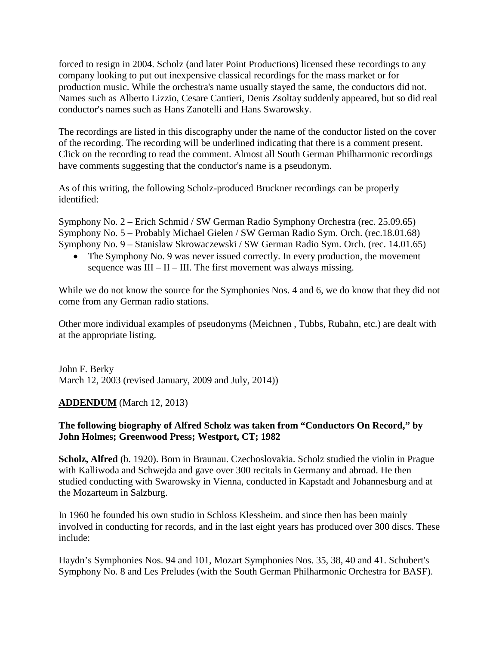forced to resign in 2004. Scholz (and later Point Productions) licensed these recordings to any company looking to put out inexpensive classical recordings for the mass market or for production music. While the orchestra's name usually stayed the same, the conductors did not. Names such as Alberto Lizzio, Cesare Cantieri, Denis Zsoltay suddenly appeared, but so did real conductor's names such as Hans Zanotelli and Hans Swarowsky.

The recordings are listed in this discography under the name of the conductor listed on the cover of the recording. The recording will be underlined indicating that there is a comment present. Click on the recording to read the comment. Almost all South German Philharmonic recordings have comments suggesting that the conductor's name is a pseudonym.

As of this writing, the following Scholz-produced Bruckner recordings can be properly identified:

Symphony No. 2 – Erich Schmid / SW German Radio Symphony Orchestra (rec. 25.09.65) Symphony No. 5 – Probably Michael Gielen / SW German Radio Sym. Orch. (rec.18.01.68) Symphony No. 9 – Stanislaw Skrowaczewski / SW German Radio Sym. Orch. (rec. 14.01.65)

• The Symphony No. 9 was never issued correctly. In every production, the movement sequence was  $III - II - III$ . The first movement was always missing.

While we do not know the source for the Symphonies Nos. 4 and 6, we do know that they did not come from any German radio stations.

Other more individual examples of pseudonyms (Meichnen , Tubbs, Rubahn, etc.) are dealt with at the appropriate listing.

John F. Berky March 12, 2003 (revised January, 2009 and July, 2014))

## **ADDENDUM** (March 12, 2013)

## **The following biography of Alfred Scholz was taken from "Conductors On Record," by John Holmes; Greenwood Press; Westport, CT; 1982**

**Scholz, Alfred** (b. 1920). Born in Braunau. Czechoslovakia. Scholz studied the violin in Prague with Kalliwoda and Schwejda and gave over 300 recitals in Germany and abroad. He then studied conducting with Swarowsky in Vienna, conducted in Kapstadt and Johannesburg and at the Mozarteum in Salzburg.

In 1960 he founded his own studio in Schloss Klessheim. and since then has been mainly involved in conducting for records, and in the last eight years has produced over 300 discs. These include:

Haydn's Symphonies Nos. 94 and 101, Mozart Symphonies Nos. 35, 38, 40 and 41. Schubert's Symphony No. 8 and Les Preludes (with the South German Philharmonic Orchestra for BASF).